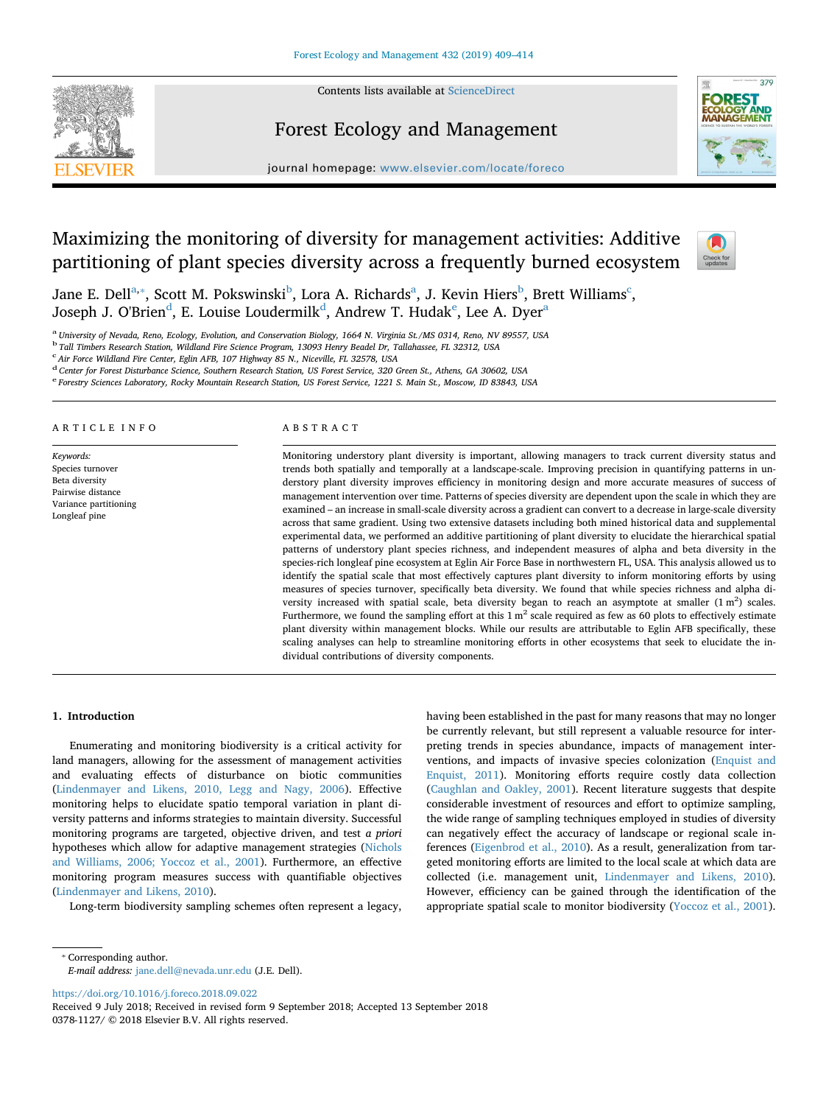

Contents lists available at ScienceDirect

# Forest Ecology and Management



journal homepage: www.elsevier.com/locate/foreco

# Maximizing the monitoring of diversity for management activities: Additive partitioning of plant species diversity across a frequently burned ecosystem



Jane E. Dell $^{\rm a, *}$ , Scott M. Pokswinski $^{\rm b}$ , Lora A. Richards $^{\rm a}$ , J. Kevin Hiers $^{\rm b}$ , Brett Williams $^{\rm c}$ , Joseph J. O'Brien $^{\rm d}$ , E. Louise Loudermilk $^{\rm d}$ , Andrew T. Hudak $^{\rm e}$ , Lee A. Dyer $^{\rm a}$ 

<sup>a</sup> *University of Nevada, Reno, Ecology, Evolution, and Conservation Biology, 1664 N. Virginia St./MS 0314, Reno, NV 89557, USA*

<sup>b</sup> *Tall Timbers Research Station, Wildland Fire Science Program, 13093 Henry Beadel Dr, Tallahassee, FL 32312, USA*

c *Air Force Wildland Fire Center, Eglin AFB, 107 Highway 85 N., Niceville, FL 32578, USA*

<sup>d</sup> *Center for Forest Disturbance Science, Southern Research Station, US Forest Service, 320 Green St., Athens, GA 30602, USA*

<sup>e</sup> *Forestry Sciences Laboratory, Rocky Mountain Research Station, US Forest Service, 1221 S. Main St., Moscow, ID 83843, USA*

# ARTICLE INFO

*Keywords:* Species turnover Beta diversity Pairwise distance Variance partitioning Longleaf pine

# ABSTRACT

Monitoring understory plant diversity is important, allowing managers to track current diversity status and trends both spatially and temporally at a landscape-scale. Improving precision in quantifying patterns in understory plant diversity improves efficiency in monitoring design and more accurate measures of success of management intervention over time. Patterns of species diversity are dependent upon the scale in which they are examined – an increase in small-scale diversity across a gradient can convert to a decrease in large-scale diversity across that same gradient. Using two extensive datasets including both mined historical data and supplemental experimental data, we performed an additive partitioning of plant diversity to elucidate the hierarchical spatial patterns of understory plant species richness, and independent measures of alpha and beta diversity in the species-rich longleaf pine ecosystem at Eglin Air Force Base in northwestern FL, USA. This analysis allowed us to identify the spatial scale that most effectively captures plant diversity to inform monitoring efforts by using measures of species turnover, specifically beta diversity. We found that while species richness and alpha diversity increased with spatial scale, beta diversity began to reach an asymptote at smaller  $(1 \text{ m}^2)$  scales. Furthermore, we found the sampling effort at this  $1 \text{ m}^2$  scale required as few as 60 plots to effectively estimate plant diversity within management blocks. While our results are attributable to Eglin AFB specifically, these scaling analyses can help to streamline monitoring efforts in other ecosystems that seek to elucidate the individual contributions of diversity components.

# **1. Introduction**

Enumerating and monitoring biodiversity is a critical activity for land managers, allowing for the assessment of management activities and evaluating effects of disturbance on biotic communities (Lindenmayer and Likens, 2010, Legg and Nagy, 2006). Effective monitoring helps to elucidate spatio temporal variation in plant diversity patterns and informs strategies to maintain diversity. Successful monitoring programs are targeted, objective driven, and test *a priori* hypotheses which allow for adaptive management strategies (Nichols and Williams, 2006; Yoccoz et al., 2001). Furthermore, an effective monitoring program measures success with quantifiable objectives (Lindenmayer and Likens, 2010).

Long-term biodiversity sampling schemes often represent a legacy,

having been established in the past for many reasons that may no longer be currently relevant, but still represent a valuable resource for interpreting trends in species abundance, impacts of management interventions, and impacts of invasive species colonization (Enquist and Enquist, 2011). Monitoring efforts require costly data collection (Caughlan and Oakley, 2001). Recent literature suggests that despite considerable investment of resources and effort to optimize sampling, the wide range of sampling techniques employed in studies of diversity can negatively effect the accuracy of landscape or regional scale inferences (Eigenbrod et al., 2010). As a result, generalization from targeted monitoring efforts are limited to the local scale at which data are collected (i.e. management unit, Lindenmayer and Likens, 2010). However, efficiency can be gained through the identification of the appropriate spatial scale to monitor biodiversity (Yoccoz et al., 2001).

⁎ Corresponding author.

*E-mail address:* jane.dell@nevada.unr.edu (J.E. Dell).

https://doi.org/10.1016/j.foreco.2018.09.022

Received 9 July 2018; Received in revised form 9 September 2018; Accepted 13 September 2018 0378-1127/ © 2018 Elsevier B.V. All rights reserved.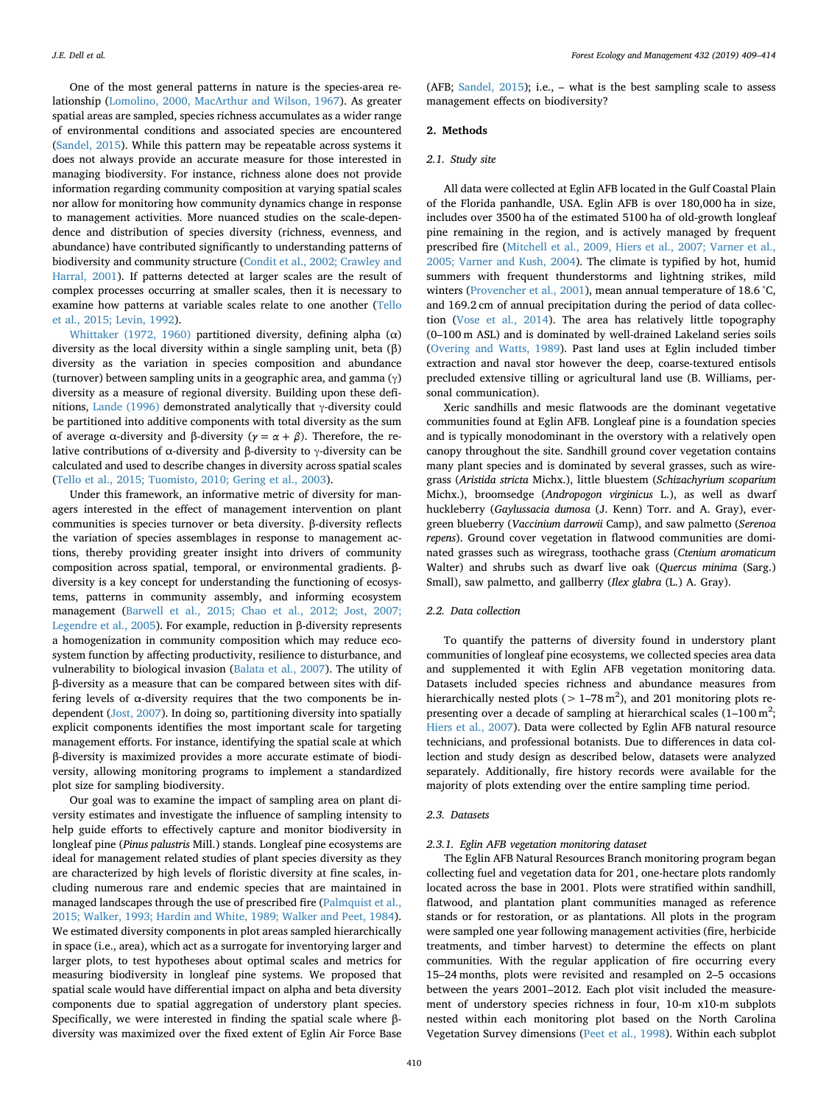One of the most general patterns in nature is the species-area relationship (Lomolino, 2000, MacArthur and Wilson, 1967). As greater spatial areas are sampled, species richness accumulates as a wider range of environmental conditions and associated species are encountered (Sandel, 2015). While this pattern may be repeatable across systems it does not always provide an accurate measure for those interested in managing biodiversity. For instance, richness alone does not provide information regarding community composition at varying spatial scales nor allow for monitoring how community dynamics change in response to management activities. More nuanced studies on the scale-dependence and distribution of species diversity (richness, evenness, and abundance) have contributed significantly to understanding patterns of biodiversity and community structure (Condit et al., 2002; Crawley and Harral, 2001). If patterns detected at larger scales are the result of complex processes occurring at smaller scales, then it is necessary to examine how patterns at variable scales relate to one another (Tello et al., 2015; Levin, 1992).

Whittaker (1972, 1960) partitioned diversity, defining alpha (α) diversity as the local diversity within a single sampling unit, beta (β) diversity as the variation in species composition and abundance (turnover) between sampling units in a geographic area, and gamma  $(y)$ diversity as a measure of regional diversity. Building upon these definitions, Lande (1996) demonstrated analytically that γ-diversity could be partitioned into additive components with total diversity as the sum of average α-diversity and β-diversity ( $\gamma = \alpha + \beta$ ). Therefore, the relative contributions of α-diversity and β-diversity to γ-diversity can be calculated and used to describe changes in diversity across spatial scales (Tello et al., 2015; Tuomisto, 2010; Gering et al., 2003).

Under this framework, an informative metric of diversity for managers interested in the effect of management intervention on plant communities is species turnover or beta diversity. β-diversity reflects the variation of species assemblages in response to management actions, thereby providing greater insight into drivers of community composition across spatial, temporal, or environmental gradients. βdiversity is a key concept for understanding the functioning of ecosystems, patterns in community assembly, and informing ecosystem management (Barwell et al., 2015; Chao et al., 2012; Jost, 2007; Legendre et al., 2005). For example, reduction in β-diversity represents a homogenization in community composition which may reduce ecosystem function by affecting productivity, resilience to disturbance, and vulnerability to biological invasion (Balata et al., 2007). The utility of β-diversity as a measure that can be compared between sites with differing levels of α-diversity requires that the two components be independent (Jost, 2007). In doing so, partitioning diversity into spatially explicit components identifies the most important scale for targeting management efforts. For instance, identifying the spatial scale at which β-diversity is maximized provides a more accurate estimate of biodiversity, allowing monitoring programs to implement a standardized plot size for sampling biodiversity.

Our goal was to examine the impact of sampling area on plant diversity estimates and investigate the influence of sampling intensity to help guide efforts to effectively capture and monitor biodiversity in longleaf pine (*Pinus palustris* Mill.) stands. Longleaf pine ecosystems are ideal for management related studies of plant species diversity as they are characterized by high levels of floristic diversity at fine scales, including numerous rare and endemic species that are maintained in managed landscapes through the use of prescribed fire (Palmquist et al., 2015; Walker, 1993; Hardin and White, 1989; Walker and Peet, 1984). We estimated diversity components in plot areas sampled hierarchically in space (i.e., area), which act as a surrogate for inventorying larger and larger plots, to test hypotheses about optimal scales and metrics for measuring biodiversity in longleaf pine systems. We proposed that spatial scale would have differential impact on alpha and beta diversity components due to spatial aggregation of understory plant species. Specifically, we were interested in finding the spatial scale where βdiversity was maximized over the fixed extent of Eglin Air Force Base

(AFB; Sandel, 2015); i.e., – what is the best sampling scale to assess management effects on biodiversity?

# **2. Methods**

# *2.1. Study site*

All data were collected at Eglin AFB located in the Gulf Coastal Plain of the Florida panhandle, USA. Eglin AFB is over 180,000 ha in size, includes over 3500 ha of the estimated 5100 ha of old-growth longleaf pine remaining in the region, and is actively managed by frequent prescribed fire (Mitchell et al., 2009, Hiers et al., 2007; Varner et al., 2005; Varner and Kush, 2004). The climate is typified by hot, humid summers with frequent thunderstorms and lightning strikes, mild winters (Provencher et al., 2001), mean annual temperature of 18.6 °C, and 169.2 cm of annual precipitation during the period of data collection (Vose et al., 2014). The area has relatively little topography (0–100 m ASL) and is dominated by well-drained Lakeland series soils (Overing and Watts, 1989). Past land uses at Eglin included timber extraction and naval stor however the deep, coarse-textured entisols precluded extensive tilling or agricultural land use (B. Williams, personal communication).

Xeric sandhills and mesic flatwoods are the dominant vegetative communities found at Eglin AFB. Longleaf pine is a foundation species and is typically monodominant in the overstory with a relatively open canopy throughout the site. Sandhill ground cover vegetation contains many plant species and is dominated by several grasses, such as wiregrass (*Aristida stricta* Michx.), little bluestem (*Schizachyrium scoparium* Michx.), broomsedge (*Andropogon virginicus* L.), as well as dwarf huckleberry (*Gaylussacia dumosa* (J. Kenn) Torr. and A. Gray), evergreen blueberry (*Vaccinium darrowii* Camp), and saw palmetto (*Serenoa repens*). Ground cover vegetation in flatwood communities are dominated grasses such as wiregrass, toothache grass (*Ctenium aromaticum* Walter) and shrubs such as dwarf live oak (*Quercus minima* (Sarg.) Small), saw palmetto, and gallberry (*Ilex glabra* (L.) A. Gray).

# *2.2. Data collection*

To quantify the patterns of diversity found in understory plant communities of longleaf pine ecosystems, we collected species area data and supplemented it with Eglin AFB vegetation monitoring data. Datasets included species richness and abundance measures from hierarchically nested plots ( $> 1-78 \text{ m}^2$ ), and 201 monitoring plots representing over a decade of sampling at hierarchical scales  $(1-100 \text{ m}^2)$ Hiers et al., 2007). Data were collected by Eglin AFB natural resource technicians, and professional botanists. Due to differences in data collection and study design as described below, datasets were analyzed separately. Additionally, fire history records were available for the majority of plots extending over the entire sampling time period.

# *2.3. Datasets*

# *2.3.1. Eglin AFB vegetation monitoring dataset*

The Eglin AFB Natural Resources Branch monitoring program began collecting fuel and vegetation data for 201, one-hectare plots randomly located across the base in 2001. Plots were stratified within sandhill, flatwood, and plantation plant communities managed as reference stands or for restoration, or as plantations. All plots in the program were sampled one year following management activities (fire, herbicide treatments, and timber harvest) to determine the effects on plant communities. With the regular application of fire occurring every 15–24 months, plots were revisited and resampled on 2–5 occasions between the years 2001–2012. Each plot visit included the measurement of understory species richness in four, 10-m x10-m subplots nested within each monitoring plot based on the North Carolina Vegetation Survey dimensions (Peet et al., 1998). Within each subplot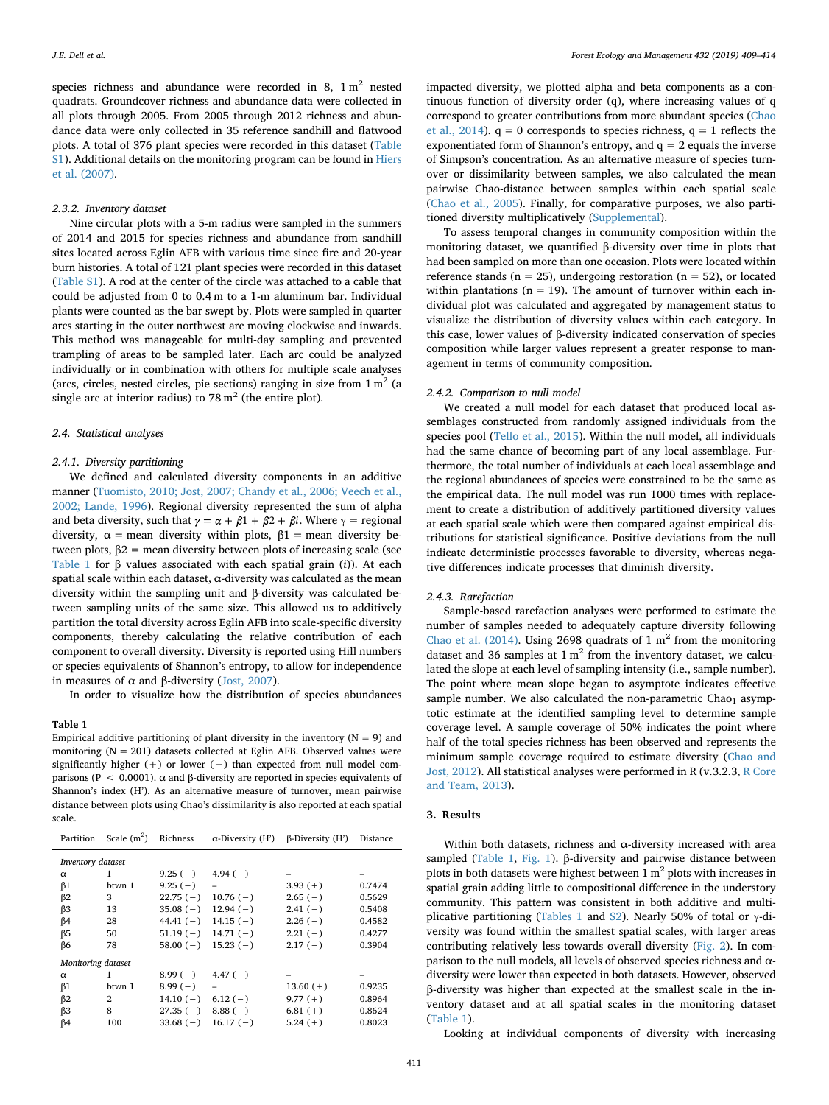species richness and abundance were recorded in 8,  $1 \text{ m}^2$  nested quadrats. Groundcover richness and abundance data were collected in all plots through 2005. From 2005 through 2012 richness and abundance data were only collected in 35 reference sandhill and flatwood plots. A total of 376 plant species were recorded in this dataset (Table S1). Additional details on the monitoring program can be found in Hiers et al. (2007).

# *2.3.2. Inventory dataset*

Nine circular plots with a 5-m radius were sampled in the summers of 2014 and 2015 for species richness and abundance from sandhill sites located across Eglin AFB with various time since fire and 20-year burn histories. A total of 121 plant species were recorded in this dataset (Table S1). A rod at the center of the circle was attached to a cable that could be adjusted from 0 to 0.4 m to a 1-m aluminum bar. Individual plants were counted as the bar swept by. Plots were sampled in quarter arcs starting in the outer northwest arc moving clockwise and inwards. This method was manageable for multi-day sampling and prevented trampling of areas to be sampled later. Each arc could be analyzed individually or in combination with others for multiple scale analyses (arcs, circles, nested circles, pie sections) ranging in size from  $1 \text{ m}^2$  (a single arc at interior radius) to  $78 \text{ m}^2$  (the entire plot).

#### *2.4. Statistical analyses*

#### *2.4.1. Diversity partitioning*

We defined and calculated diversity components in an additive manner (Tuomisto, 2010; Jost, 2007; Chandy et al., 2006; Veech et al., 2002; Lande, 1996). Regional diversity represented the sum of alpha and beta diversity, such that  $\gamma = \alpha + \beta 1 + \beta 2 + \beta i$ . Where  $\gamma$  = regional diversity,  $\alpha$  = mean diversity within plots,  $\beta$ 1 = mean diversity between plots,  $β2 =$  mean diversity between plots of increasing scale (see Table 1 for β values associated with each spatial grain (*i*)). At each spatial scale within each dataset, α-diversity was calculated as the mean diversity within the sampling unit and β-diversity was calculated between sampling units of the same size. This allowed us to additively partition the total diversity across Eglin AFB into scale-specific diversity components, thereby calculating the relative contribution of each component to overall diversity. Diversity is reported using Hill numbers or species equivalents of Shannon's entropy, to allow for independence in measures of  $\alpha$  and β-diversity (Jost, 2007).

In order to visualize how the distribution of species abundances

#### **Table 1**

Empirical additive partitioning of plant diversity in the inventory ( $N = 9$ ) and monitoring  $(N = 201)$  datasets collected at Eglin AFB. Observed values were significantly higher (+) or lower (−) than expected from null model comparisons (P < 0.0001).  $\alpha$  and β-diversity are reported in species equivalents of Shannon's index (H'). As an alternative measure of turnover, mean pairwise distance between plots using Chao's dissimilarity is also reported at each spatial scale.

| Partition          | Scale $(m^2)$  | Richness   | $\alpha$ -Diversity (H') | $\beta$ -Diversity (H') | Distance |
|--------------------|----------------|------------|--------------------------|-------------------------|----------|
| Inventory dataset  |                |            |                          |                         |          |
| $\alpha$           | 1              | $9.25(-)$  | $4.94(-)$                |                         |          |
| $\beta$ 1          | btwn 1         | $9.25(-)$  | $\overline{\phantom{0}}$ | $3.93(+)$               | 0.7474   |
| $\beta$ 2          | 3              | $22.75(-)$ | $10.76(-)$               | $2.65(-)$               | 0.5629   |
| $\beta$ 3          | 13             | $35.08(-)$ | $12.94(-)$               | $2.41(-)$               | 0.5408   |
| $\beta$ 4          | 28             | $44.41(-)$ | $14.15(-)$               | $2.26(-)$               | 0.4582   |
| $\beta$ 5          | 50             | $51.19(-)$ | $14.71(-)$               | $2.21(-)$               | 0.4277   |
| $\beta$ 6          | 78             | $58.00(-)$ | $15.23(-)$               | $2.17(-)$               | 0.3904   |
| Monitoring dataset |                |            |                          |                         |          |
| $\alpha$           | 1              | $8.99(-)$  | $4.47(-)$                |                         |          |
| $\beta$ 1          | btwn 1         | $8.99(-)$  |                          | $13.60(+)$              | 0.9235   |
| $\beta$ 2          | $\overline{2}$ | $14.10(-)$ | $6.12(-)$                | $9.77(+)$               | 0.8964   |
| $\beta$ 3          | 8              | $27.35(-)$ | $8.88(-)$                | $6.81(+)$               | 0.8624   |
| $\beta$ 4          | 100            | $33.68(-)$ | $16.17(-)$               | $5.24(+)$               | 0.8023   |

impacted diversity, we plotted alpha and beta components as a continuous function of diversity order (q), where increasing values of q correspond to greater contributions from more abundant species (Chao et al., 2014).  $q = 0$  corresponds to species richness,  $q = 1$  reflects the exponentiated form of Shannon's entropy, and  $q = 2$  equals the inverse of Simpson's concentration. As an alternative measure of species turnover or dissimilarity between samples, we also calculated the mean pairwise Chao-distance between samples within each spatial scale (Chao et al., 2005). Finally, for comparative purposes, we also partitioned diversity multiplicatively (Supplemental).

To assess temporal changes in community composition within the monitoring dataset, we quantified β-diversity over time in plots that had been sampled on more than one occasion. Plots were located within reference stands ( $n = 25$ ), undergoing restoration ( $n = 52$ ), or located within plantations ( $n = 19$ ). The amount of turnover within each individual plot was calculated and aggregated by management status to visualize the distribution of diversity values within each category. In this case, lower values of β-diversity indicated conservation of species composition while larger values represent a greater response to management in terms of community composition.

#### *2.4.2. Comparison to null model*

We created a null model for each dataset that produced local assemblages constructed from randomly assigned individuals from the species pool (Tello et al., 2015). Within the null model, all individuals had the same chance of becoming part of any local assemblage. Furthermore, the total number of individuals at each local assemblage and the regional abundances of species were constrained to be the same as the empirical data. The null model was run 1000 times with replacement to create a distribution of additively partitioned diversity values at each spatial scale which were then compared against empirical distributions for statistical significance. Positive deviations from the null indicate deterministic processes favorable to diversity, whereas negative differences indicate processes that diminish diversity.

# *2.4.3. Rarefaction*

Sample-based rarefaction analyses were performed to estimate the number of samples needed to adequately capture diversity following Chao et al. (2014). Using 2698 quadrats of 1  $m<sup>2</sup>$  from the monitoring dataset and 36 samples at  $1 \text{ m}^2$  from the inventory dataset, we calculated the slope at each level of sampling intensity (i.e., sample number). The point where mean slope began to asymptote indicates effective sample number. We also calculated the non-parametric  $Chao<sub>1</sub>$  asymptotic estimate at the identified sampling level to determine sample coverage level. A sample coverage of 50% indicates the point where half of the total species richness has been observed and represents the minimum sample coverage required to estimate diversity (Chao and Jost, 2012). All statistical analyses were performed in R (v.3.2.3, R Core and Team, 2013).

# **3. Results**

Within both datasets, richness and  $\alpha$ -diversity increased with area sampled (Table 1, Fig. 1). β-diversity and pairwise distance between plots in both datasets were highest between  $1 \text{ m}^2$  plots with increases in spatial grain adding little to compositional difference in the understory community. This pattern was consistent in both additive and multiplicative partitioning (Tables 1 and S2). Nearly 50% of total or  $\gamma$ -diversity was found within the smallest spatial scales, with larger areas contributing relatively less towards overall diversity (Fig. 2). In comparison to the null models, all levels of observed species richness and αdiversity were lower than expected in both datasets. However, observed β-diversity was higher than expected at the smallest scale in the inventory dataset and at all spatial scales in the monitoring dataset (Table 1).

Looking at individual components of diversity with increasing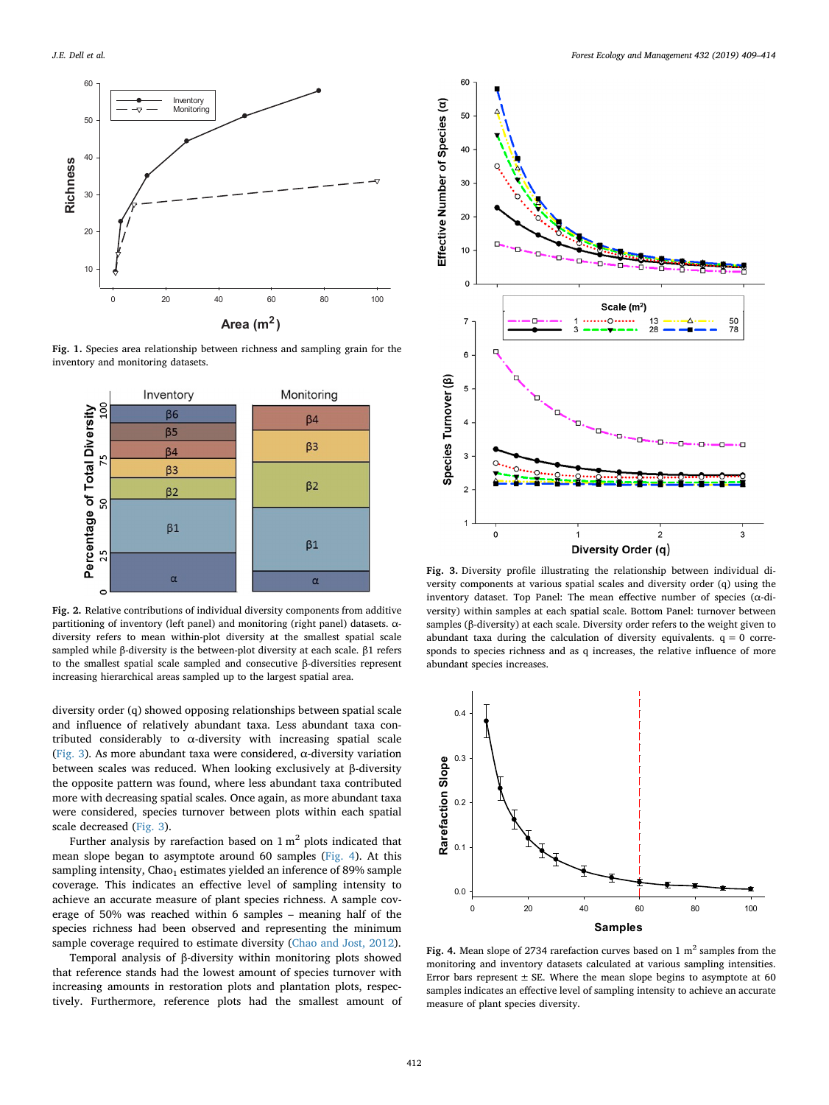

**Fig. 1.** Species area relationship between richness and sampling grain for the inventory and monitoring datasets.



**Fig. 2.** Relative contributions of individual diversity components from additive partitioning of inventory (left panel) and monitoring (right panel) datasets. αdiversity refers to mean within-plot diversity at the smallest spatial scale sampled while β-diversity is the between-plot diversity at each scale. β1 refers to the smallest spatial scale sampled and consecutive β-diversities represent increasing hierarchical areas sampled up to the largest spatial area.

diversity order (q) showed opposing relationships between spatial scale and influence of relatively abundant taxa. Less abundant taxa contributed considerably to  $\alpha$ -diversity with increasing spatial scale (Fig. 3). As more abundant taxa were considered, α-diversity variation between scales was reduced. When looking exclusively at β-diversity the opposite pattern was found, where less abundant taxa contributed more with decreasing spatial scales. Once again, as more abundant taxa were considered, species turnover between plots within each spatial scale decreased (Fig. 3).

Further analysis by rarefaction based on  $1 \text{ m}^2$  plots indicated that mean slope began to asymptote around 60 samples (Fig. 4). At this sampling intensity,  $Chao_1$  estimates yielded an inference of 89% sample coverage. This indicates an effective level of sampling intensity to achieve an accurate measure of plant species richness. A sample coverage of 50% was reached within 6 samples – meaning half of the species richness had been observed and representing the minimum sample coverage required to estimate diversity (Chao and Jost, 2012).

Temporal analysis of β-diversity within monitoring plots showed that reference stands had the lowest amount of species turnover with increasing amounts in restoration plots and plantation plots, respectively. Furthermore, reference plots had the smallest amount of



**Fig. 3.** Diversity profile illustrating the relationship between individual diversity components at various spatial scales and diversity order (q) using the inventory dataset. Top Panel: The mean effective number of species  $(\alpha$ -diversity) within samples at each spatial scale. Bottom Panel: turnover between samples (β-diversity) at each scale. Diversity order refers to the weight given to abundant taxa during the calculation of diversity equivalents.  $q = 0$  corresponds to species richness and as q increases, the relative influence of more abundant species increases.



Fig. 4. Mean slope of 2734 rarefaction curves based on 1 m<sup>2</sup> samples from the monitoring and inventory datasets calculated at various sampling intensities. Error bars represent  $\pm$  SE. Where the mean slope begins to asymptote at 60 samples indicates an effective level of sampling intensity to achieve an accurate measure of plant species diversity.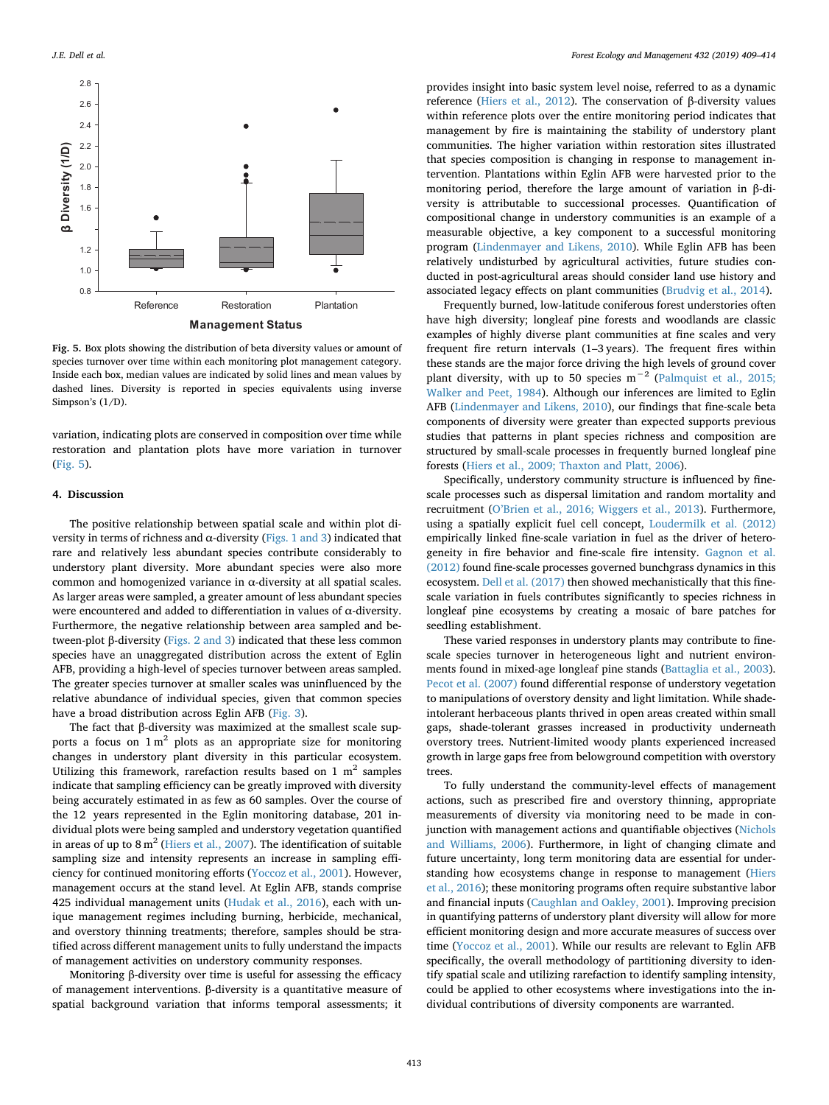

**Fig. 5.** Box plots showing the distribution of beta diversity values or amount of species turnover over time within each monitoring plot management category. Inside each box, median values are indicated by solid lines and mean values by dashed lines. Diversity is reported in species equivalents using inverse Simpson's (1/D).

variation, indicating plots are conserved in composition over time while restoration and plantation plots have more variation in turnover (Fig. 5).

# **4. Discussion**

The positive relationship between spatial scale and within plot diversity in terms of richness and α-diversity (Figs. 1 and 3) indicated that rare and relatively less abundant species contribute considerably to understory plant diversity. More abundant species were also more common and homogenized variance in α-diversity at all spatial scales. As larger areas were sampled, a greater amount of less abundant species were encountered and added to differentiation in values of α-diversity. Furthermore, the negative relationship between area sampled and between-plot β-diversity (Figs. 2 and 3) indicated that these less common species have an unaggregated distribution across the extent of Eglin AFB, providing a high-level of species turnover between areas sampled. The greater species turnover at smaller scales was uninfluenced by the relative abundance of individual species, given that common species have a broad distribution across Eglin AFB (Fig. 3).

The fact that β-diversity was maximized at the smallest scale supports a focus on  $1 \text{ m}^2$  plots as an appropriate size for monitoring changes in understory plant diversity in this particular ecosystem. Utilizing this framework, rarefaction results based on 1  $m<sup>2</sup>$  samples indicate that sampling efficiency can be greatly improved with diversity being accurately estimated in as few as 60 samples. Over the course of the 12 years represented in the Eglin monitoring database, 201 individual plots were being sampled and understory vegetation quantified in areas of up to  $8 \text{ m}^2$  (Hiers et al., 2007). The identification of suitable sampling size and intensity represents an increase in sampling efficiency for continued monitoring efforts (Yoccoz et al., 2001). However, management occurs at the stand level. At Eglin AFB, stands comprise 425 individual management units (Hudak et al., 2016), each with unique management regimes including burning, herbicide, mechanical, and overstory thinning treatments; therefore, samples should be stratified across different management units to fully understand the impacts of management activities on understory community responses.

Monitoring β-diversity over time is useful for assessing the efficacy of management interventions. β-diversity is a quantitative measure of spatial background variation that informs temporal assessments; it

provides insight into basic system level noise, referred to as a dynamic reference (Hiers et al., 2012). The conservation of β-diversity values within reference plots over the entire monitoring period indicates that management by fire is maintaining the stability of understory plant communities. The higher variation within restoration sites illustrated that species composition is changing in response to management intervention. Plantations within Eglin AFB were harvested prior to the monitoring period, therefore the large amount of variation in β-diversity is attributable to successional processes. Quantification of compositional change in understory communities is an example of a measurable objective, a key component to a successful monitoring program (Lindenmayer and Likens, 2010). While Eglin AFB has been relatively undisturbed by agricultural activities, future studies conducted in post-agricultural areas should consider land use history and associated legacy effects on plant communities (Brudvig et al., 2014).

Frequently burned, low-latitude coniferous forest understories often have high diversity; longleaf pine forests and woodlands are classic examples of highly diverse plant communities at fine scales and very frequent fire return intervals (1–3 years). The frequent fires within these stands are the major force driving the high levels of ground cover plant diversity, with up to 50 species  $m^{-2}$  (Palmquist et al., 2015; Walker and Peet, 1984). Although our inferences are limited to Eglin AFB (Lindenmayer and Likens, 2010), our findings that fine-scale beta components of diversity were greater than expected supports previous studies that patterns in plant species richness and composition are structured by small-scale processes in frequently burned longleaf pine forests (Hiers et al., 2009; Thaxton and Platt, 2006).

Specifically, understory community structure is influenced by finescale processes such as dispersal limitation and random mortality and recruitment (O'Brien et al., 2016; Wiggers et al., 2013). Furthermore, using a spatially explicit fuel cell concept, Loudermilk et al. (2012) empirically linked fine-scale variation in fuel as the driver of heterogeneity in fire behavior and fine-scale fire intensity. Gagnon et al. (2012) found fine-scale processes governed bunchgrass dynamics in this ecosystem. Dell et al. (2017) then showed mechanistically that this finescale variation in fuels contributes significantly to species richness in longleaf pine ecosystems by creating a mosaic of bare patches for seedling establishment.

These varied responses in understory plants may contribute to finescale species turnover in heterogeneous light and nutrient environments found in mixed-age longleaf pine stands (Battaglia et al., 2003). Pecot et al. (2007) found differential response of understory vegetation to manipulations of overstory density and light limitation. While shadeintolerant herbaceous plants thrived in open areas created within small gaps, shade-tolerant grasses increased in productivity underneath overstory trees. Nutrient-limited woody plants experienced increased growth in large gaps free from belowground competition with overstory trees.

To fully understand the community-level effects of management actions, such as prescribed fire and overstory thinning, appropriate measurements of diversity via monitoring need to be made in conjunction with management actions and quantifiable objectives (Nichols and Williams, 2006). Furthermore, in light of changing climate and future uncertainty, long term monitoring data are essential for understanding how ecosystems change in response to management (Hiers et al., 2016); these monitoring programs often require substantive labor and financial inputs (Caughlan and Oakley, 2001). Improving precision in quantifying patterns of understory plant diversity will allow for more efficient monitoring design and more accurate measures of success over time (Yoccoz et al., 2001). While our results are relevant to Eglin AFB specifically, the overall methodology of partitioning diversity to identify spatial scale and utilizing rarefaction to identify sampling intensity, could be applied to other ecosystems where investigations into the individual contributions of diversity components are warranted.